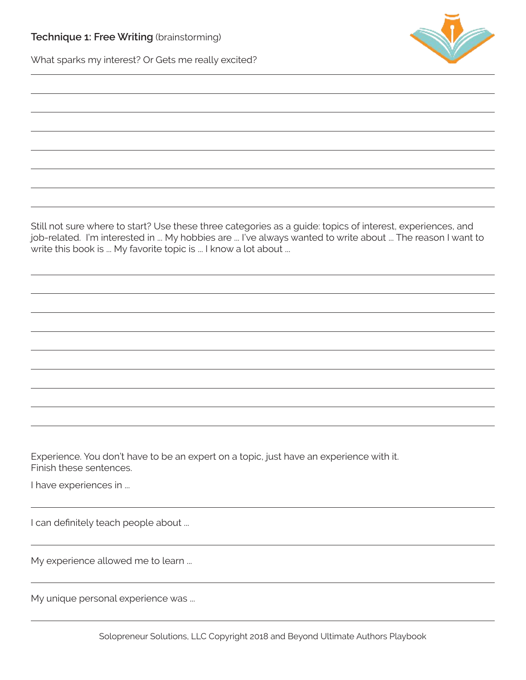

What sparks my interest? Or Gets me really excited?

Still not sure where to start? Use these three categories as a guide: topics of interest, experiences, and job-related. I'm interested in ... My hobbies are ... I've always wanted to write about ... The reason I want to write this book is ... My favorite topic is ... I know a lot about ...

Experience. You don't have to be an expert on a topic, just have an experience with it. Finish these sentences.

I have experiences in ...

I can definitely teach people about ...

My experience allowed me to learn ...

My unique personal experience was ...